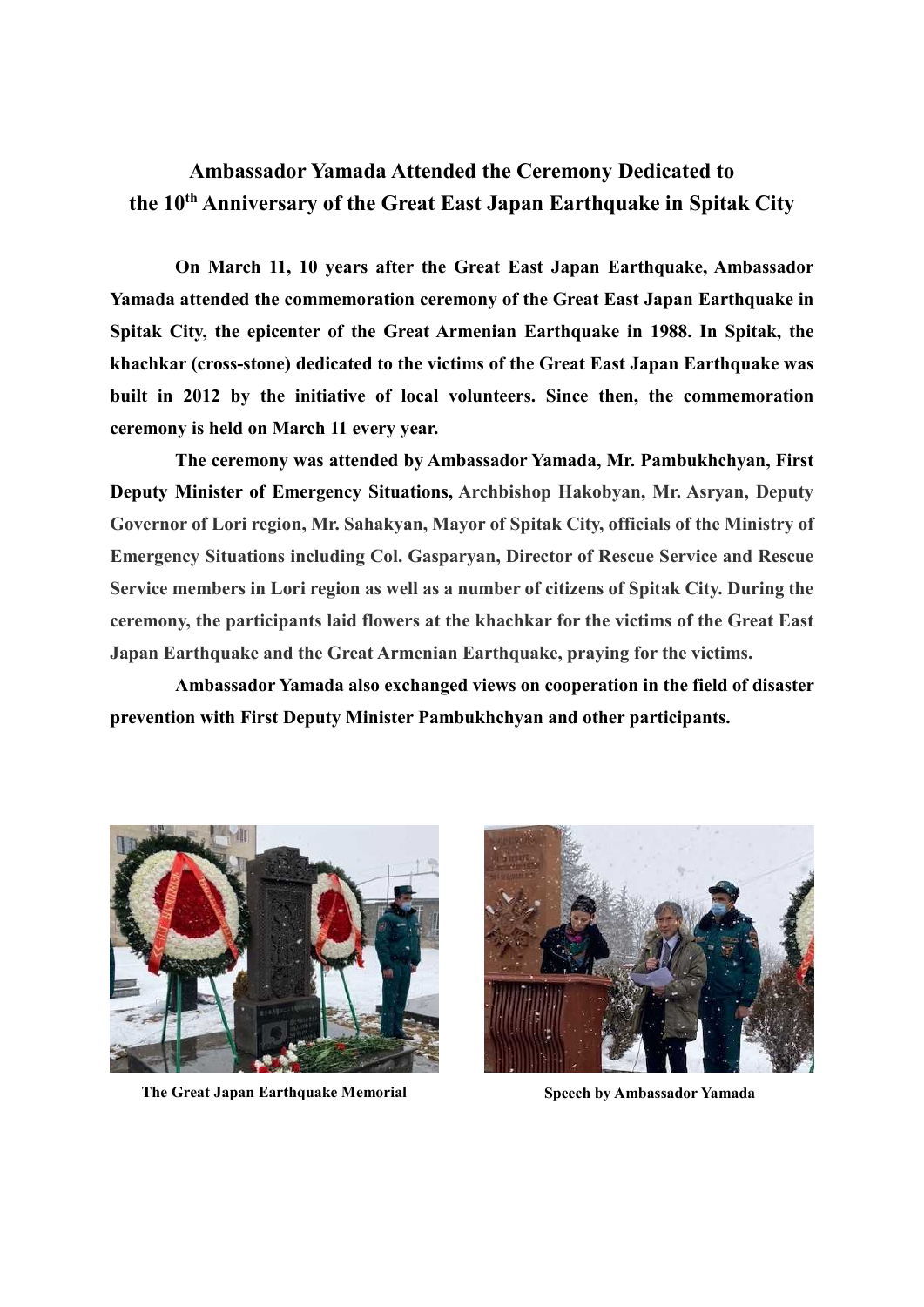## **Ambassador Yamada Attended the Ceremony Dedicated to the 10 th Anniversary of the Great East Japan Earthquake in Spitak City**

**On March 11, 10 years after the Great East Japan Earthquake, Ambassador Yamada attended the commemoration ceremony of the Great East Japan Earthquake in Spitak City, the epicenter of the Great Armenian Earthquake in 1988. In Spitak, the khachkar (cross-stone) dedicated to the victims of the Great East Japan Earthquake was built in 2012 by the initiative of local volunteers. Since then, the commemoration ceremony is held on March 11 every year.**

**The ceremony was attended by Ambassador Yamada, Mr. Pambukhchyan, First Deputy Minister of Emergency Situations, Archbishop Hakobyan, Mr. Asryan, Deputy Governor of Lori region, Mr. Sahakyan, Mayor of Spitak City, officials of the Ministry of Emergency Situations including Col. Gasparyan, Director of Rescue Service and Rescue Service members in Lori region as well as a number of citizens of Spitak City. During the ceremony, the participants laid flowers at the khachkar for the victims of the Great East Japan Earthquake and the Great Armenian Earthquake, praying for the victims.**

**Ambassador Yamada also exchanged views on cooperation in the field of disaster prevention with First Deputy Minister Pambukhchyan and other participants.**



**The Great Japan Earthquake Memorial Speech by Ambassador Yamada**